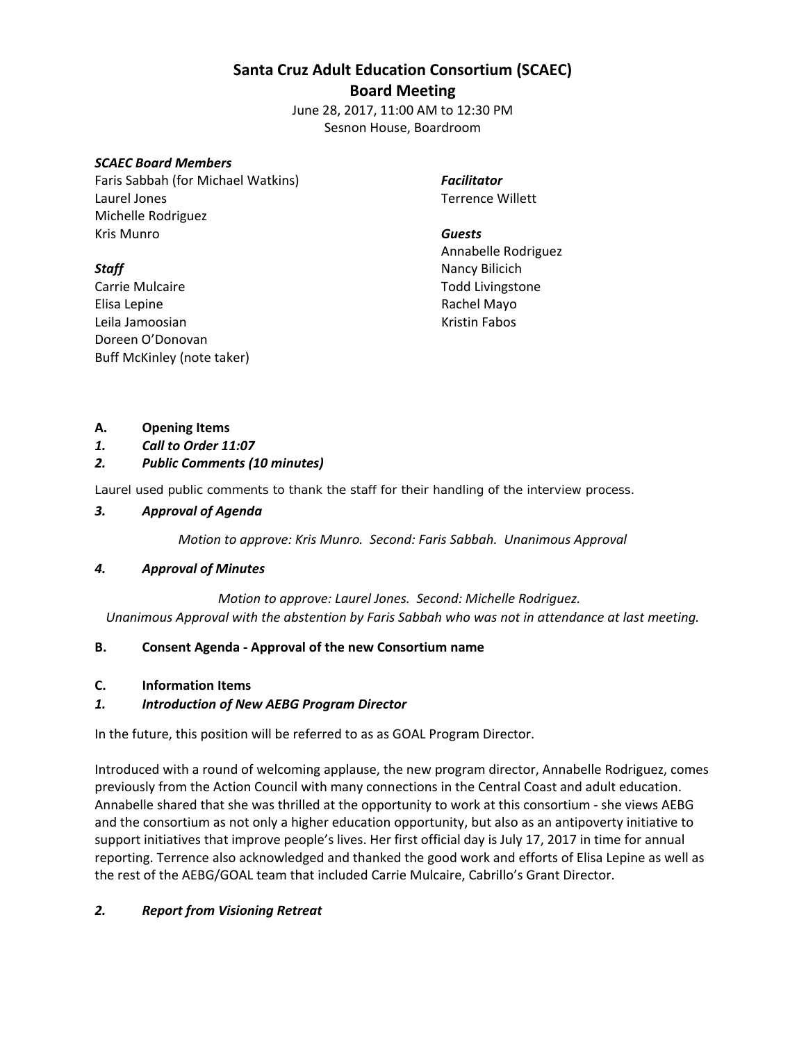## **Santa Cruz Adult Education Consortium (SCAEC)**

## **Board Meeting**

June 28, 2017, 11:00 AM to 12:30 PM Sesnon House, Boardroom

#### *SCAEC Board Members*

Faris Sabbah (for Michael Watkins) Laurel Jones Michelle Rodriguez Kris Munro

# *Staff*

Carrie Mulcaire Elisa Lepine Leila Jamoosian Doreen O'Donovan Buff McKinley (note taker) *Facilitator* Terrence Willett

*Guests*  Annabelle Rodriguez Nancy Bilicich Todd Livingstone Rachel Mayo Kristin Fabos

## **A. Opening Items**

*1. Call to Order 11:07*

# *2. Public Comments (10 minutes)*

Laurel used public comments to thank the staff for their handling of the interview process.

## *3. Approval of Agenda*

*Motion to approve: Kris Munro. Second: Faris Sabbah. Unanimous Approval*

## *4. Approval of Minutes*

*Motion to approve: Laurel Jones. Second: Michelle Rodriguez.* 

*Unanimous Approval with the abstention by Faris Sabbah who was not in attendance at last meeting.*

## **B. Consent Agenda ‐ Approval of the new Consortium name**

## **C. Information Items**

## *1. Introduction of New AEBG Program Director*

In the future, this position will be referred to as as GOAL Program Director.

Introduced with a round of welcoming applause, the new program director, Annabelle Rodriguez, comes previously from the Action Council with many connections in the Central Coast and adult education. Annabelle shared that she was thrilled at the opportunity to work at this consortium ‐ she views AEBG and the consortium as not only a higher education opportunity, but also as an antipoverty initiative to support initiatives that improve people's lives. Her first official day is July 17, 2017 in time for annual reporting. Terrence also acknowledged and thanked the good work and efforts of Elisa Lepine as well as the rest of the AEBG/GOAL team that included Carrie Mulcaire, Cabrillo's Grant Director.

## *2. Report from Visioning Retreat*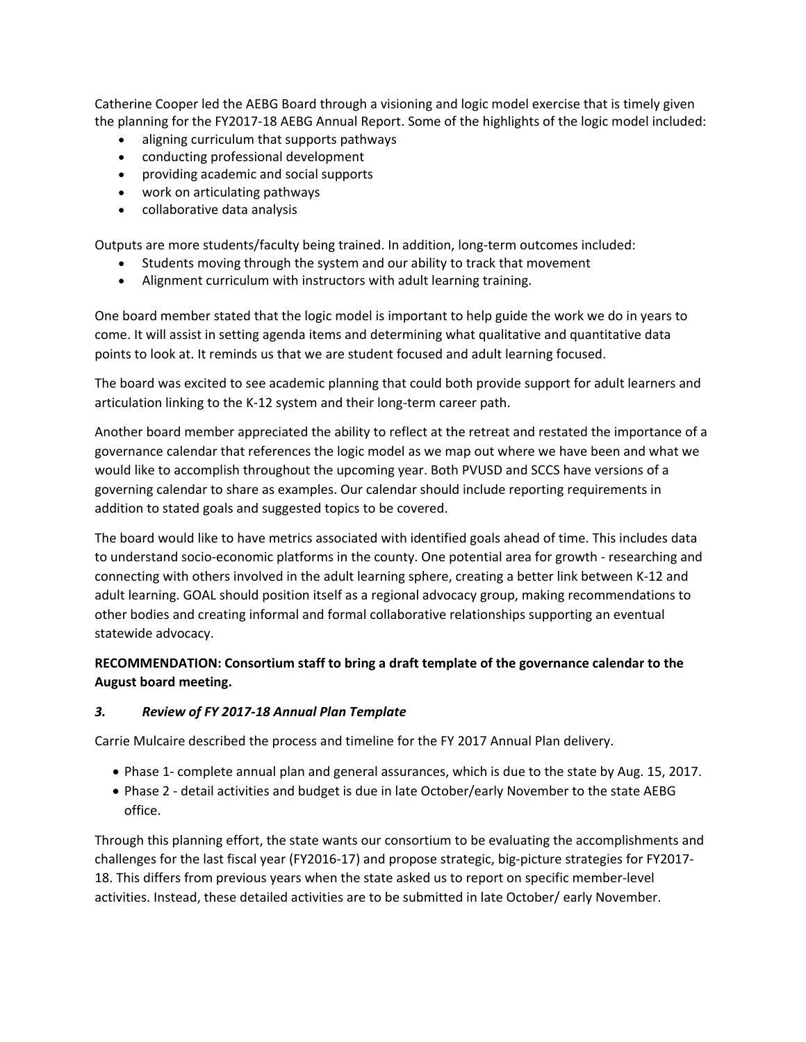Catherine Cooper led the AEBG Board through a visioning and logic model exercise that is timely given the planning for the FY2017‐18 AEBG Annual Report. Some of the highlights of the logic model included:

- aligning curriculum that supports pathways
- conducting professional development
- providing academic and social supports
- work on articulating pathways
- collaborative data analysis

Outputs are more students/faculty being trained. In addition, long‐term outcomes included:

- Students moving through the system and our ability to track that movement
- Alignment curriculum with instructors with adult learning training.

One board member stated that the logic model is important to help guide the work we do in years to come. It will assist in setting agenda items and determining what qualitative and quantitative data points to look at. It reminds us that we are student focused and adult learning focused.

The board was excited to see academic planning that could both provide support for adult learners and articulation linking to the K‐12 system and their long‐term career path.

Another board member appreciated the ability to reflect at the retreat and restated the importance of a governance calendar that references the logic model as we map out where we have been and what we would like to accomplish throughout the upcoming year. Both PVUSD and SCCS have versions of a governing calendar to share as examples. Our calendar should include reporting requirements in addition to stated goals and suggested topics to be covered.

The board would like to have metrics associated with identified goals ahead of time. This includes data to understand socio‐economic platforms in the county. One potential area for growth ‐ researching and connecting with others involved in the adult learning sphere, creating a better link between K‐12 and adult learning. GOAL should position itself as a regional advocacy group, making recommendations to other bodies and creating informal and formal collaborative relationships supporting an eventual statewide advocacy.

# **RECOMMENDATION: Consortium staff to bring a draft template of the governance calendar to the August board meeting.**

#### *3. Review of FY 2017‐18 Annual Plan Template*

Carrie Mulcaire described the process and timeline for the FY 2017 Annual Plan delivery.

- Phase 1- complete annual plan and general assurances, which is due to the state by Aug. 15, 2017.
- Phase 2 detail activities and budget is due in late October/early November to the state AEBG office.

Through this planning effort, the state wants our consortium to be evaluating the accomplishments and challenges for the last fiscal year (FY2016‐17) and propose strategic, big‐picture strategies for FY2017‐ 18. This differs from previous years when the state asked us to report on specific member‐level activities. Instead, these detailed activities are to be submitted in late October/ early November.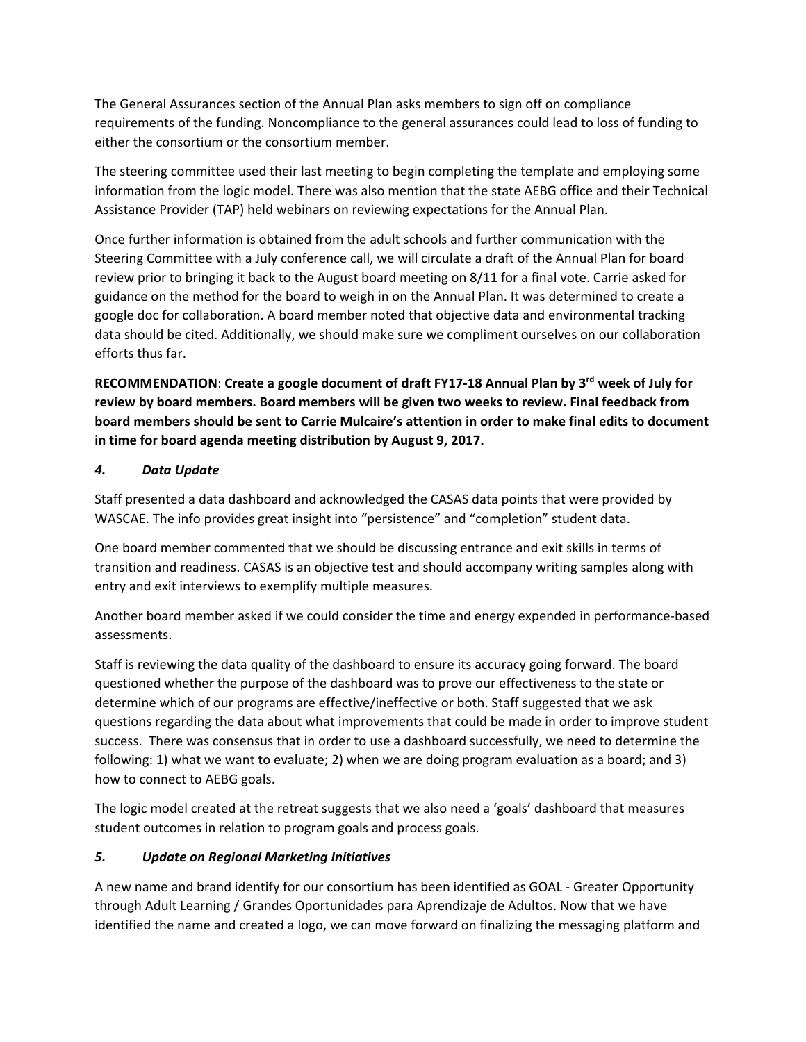The General Assurances section of the Annual Plan asks members to sign off on compliance requirements of the funding. Noncompliance to the general assurances could lead to loss of funding to either the consortium or the consortium member.

The steering committee used their last meeting to begin completing the template and employing some information from the logic model. There was also mention that the state AEBG office and their Technical Assistance Provider (TAP) held webinars on reviewing expectations for the Annual Plan.

Once further information is obtained from the adult schools and further communication with the Steering Committee with a July conference call, we will circulate a draft of the Annual Plan for board review prior to bringing it back to the August board meeting on 8/11 for a final vote. Carrie asked for guidance on the method for the board to weigh in on the Annual Plan. It was determined to create a google doc for collaboration. A board member noted that objective data and environmental tracking data should be cited. Additionally, we should make sure we compliment ourselves on our collaboration efforts thus far.

**RECOMMENDATION**: **Create a google document of draft FY17‐18 Annual Plan by 3rd week of July for review by board members. Board members will be given two weeks to review. Final feedback from board members should be sent to Carrie Mulcaire's attention in order to make final edits to document in time for board agenda meeting distribution by August 9, 2017.**

## *4. Data Update*

Staff presented a data dashboard and acknowledged the CASAS data points that were provided by WASCAE. The info provides great insight into "persistence" and "completion" student data.

One board member commented that we should be discussing entrance and exit skills in terms of transition and readiness. CASAS is an objective test and should accompany writing samples along with entry and exit interviews to exemplify multiple measures.

Another board member asked if we could consider the time and energy expended in performance‐based assessments.

Staff is reviewing the data quality of the dashboard to ensure its accuracy going forward. The board questioned whether the purpose of the dashboard was to prove our effectiveness to the state or determine which of our programs are effective/ineffective or both. Staff suggested that we ask questions regarding the data about what improvements that could be made in order to improve student success. There was consensus that in order to use a dashboard successfully, we need to determine the following: 1) what we want to evaluate; 2) when we are doing program evaluation as a board; and 3) how to connect to AEBG goals.

The logic model created at the retreat suggests that we also need a 'goals' dashboard that measures student outcomes in relation to program goals and process goals.

## *5. Update on Regional Marketing Initiatives*

A new name and brand identify for our consortium has been identified as GOAL ‐ Greater Opportunity through Adult Learning / Grandes Oportunidades para Aprendizaje de Adultos. Now that we have identified the name and created a logo, we can move forward on finalizing the messaging platform and